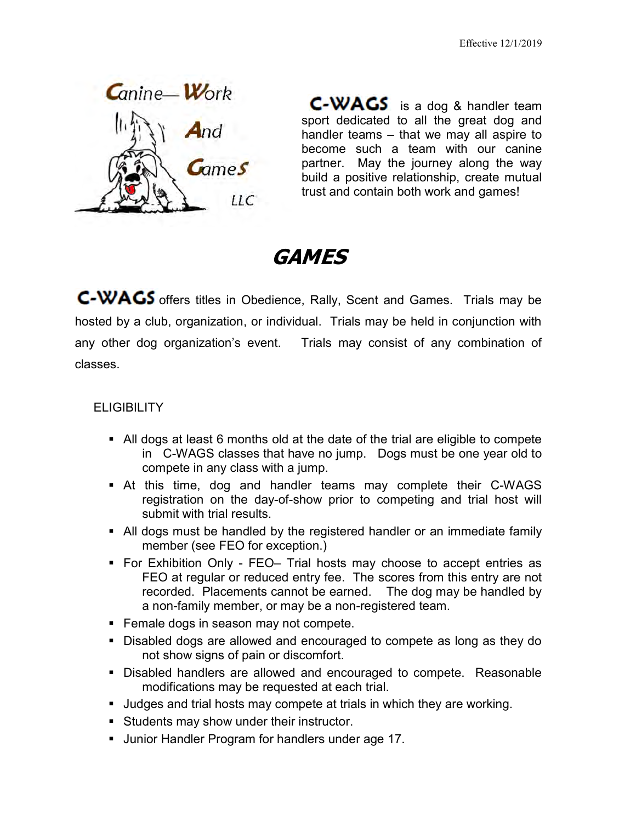

**C-WAGS** is a dog & handler team sport dedicated to all the great dog and handler teams  $-$  that we may all aspire to become such a team with our canine partner. May the journey along the way build a positive relationship, create mutual trust and contain both work and games!

# GAMES

C-WACS offers titles in Obedience, Rally, Scent and Games. Trials may be hosted by a club, organization, or individual. Trials may be held in conjunction with any other dog organization's event. Trials may consist of any combination of classes.

#### **ELIGIBILITY**

- All dogs at least 6 months old at the date of the trial are eligible to compete in C-WAGS classes that have no jump. Dogs must be one year old to compete in any class with a jump.
- At this time, dog and handler teams may complete their C-WAGS registration on the day-of-show prior to competing and trial host will submit with trial results.
- All dogs must be handled by the registered handler or an immediate family member (see FEO for exception.)
- For Exhibition Only FEO– Trial hosts may choose to accept entries as FEO at regular or reduced entry fee. The scores from this entry are not recorded. Placements cannot be earned. The dog may be handled by a non-family member, or may be a non-registered team.
- Female dogs in season may not compete.
- Disabled dogs are allowed and encouraged to compete as long as they do not show signs of pain or discomfort.
- **Disabled handlers are allowed and encouraged to compete. Reasonable** modifications may be requested at each trial.
- Judges and trial hosts may compete at trials in which they are working.
- Students may show under their instructor.
- **Junior Handler Program for handlers under age 17.**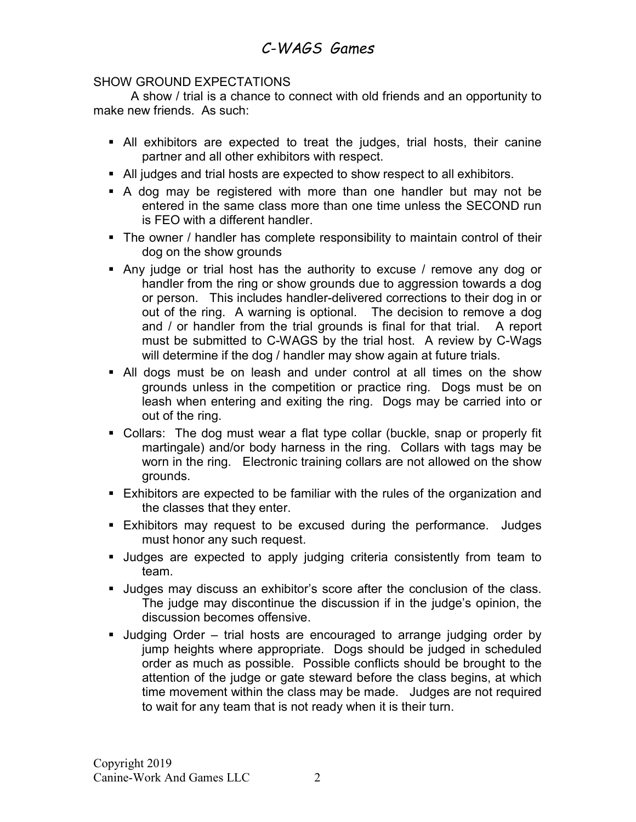#### SHOW GROUND EXPECTATIONS

 A show / trial is a chance to connect with old friends and an opportunity to make new friends. As such:

- All exhibitors are expected to treat the judges, trial hosts, their canine partner and all other exhibitors with respect.
- All judges and trial hosts are expected to show respect to all exhibitors.
- A dog may be registered with more than one handler but may not be entered in the same class more than one time unless the SECOND run is FEO with a different handler.
- The owner / handler has complete responsibility to maintain control of their dog on the show grounds
- Any judge or trial host has the authority to excuse / remove any dog or handler from the ring or show grounds due to aggression towards a dog or person. This includes handler-delivered corrections to their dog in or out of the ring. A warning is optional. The decision to remove a dog and / or handler from the trial grounds is final for that trial. A report must be submitted to C-WAGS by the trial host. A review by C-Wags will determine if the dog / handler may show again at future trials.
- All dogs must be on leash and under control at all times on the show grounds unless in the competition or practice ring. Dogs must be on leash when entering and exiting the ring. Dogs may be carried into or out of the ring.
- Collars: The dog must wear a flat type collar (buckle, snap or properly fit martingale) and/or body harness in the ring. Collars with tags may be worn in the ring. Electronic training collars are not allowed on the show grounds.
- Exhibitors are expected to be familiar with the rules of the organization and the classes that they enter.
- **Exhibitors may request to be excused during the performance. Judges** must honor any such request.
- Judges are expected to apply judging criteria consistently from team to team.
- Judges may discuss an exhibitor's score after the conclusion of the class. The judge may discontinue the discussion if in the judge's opinion, the discussion becomes offensive.
- Judging Order trial hosts are encouraged to arrange judging order by jump heights where appropriate. Dogs should be judged in scheduled order as much as possible. Possible conflicts should be brought to the attention of the judge or gate steward before the class begins, at which time movement within the class may be made. Judges are not required to wait for any team that is not ready when it is their turn.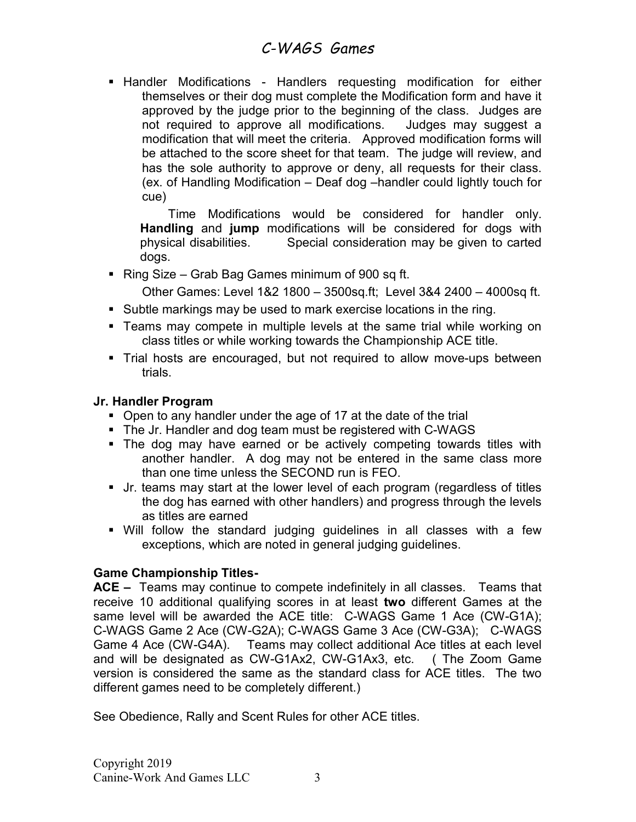**-** Handler Modifications - Handlers requesting modification for either themselves or their dog must complete the Modification form and have it approved by the judge prior to the beginning of the class. Judges are not required to approve all modifications. Judges may suggest a modification that will meet the criteria. Approved modification forms will be attached to the score sheet for that team. The judge will review, and has the sole authority to approve or deny, all requests for their class. (ex. of Handling Modification – Deaf dog –handler could lightly touch for cue)

 Time Modifications would be considered for handler only. Handling and jump modifications will be considered for dogs with physical disabilities. Special consideration may be given to carted dogs.

Ring Size – Grab Bag Games minimum of 900 sq ft.

Other Games: Level 1&2 1800 – 3500sq.ft; Level 3&4 2400 – 4000sq ft.

- Subtle markings may be used to mark exercise locations in the ring.
- **Teams may compete in multiple levels at the same trial while working on** class titles or while working towards the Championship ACE title.
- Trial hosts are encouraged, but not required to allow move-ups between trials.

#### Jr. Handler Program

- Open to any handler under the age of 17 at the date of the trial
- The Jr. Handler and dog team must be registered with C-WAGS
- The dog may have earned or be actively competing towards titles with another handler. A dog may not be entered in the same class more than one time unless the SECOND run is FEO.
- Jr. teams may start at the lower level of each program (regardless of titles the dog has earned with other handlers) and progress through the levels as titles are earned
- Will follow the standard judging guidelines in all classes with a few exceptions, which are noted in general judging guidelines.

#### Game Championship Titles-

ACE – Teams may continue to compete indefinitely in all classes. Teams that receive 10 additional qualifying scores in at least two different Games at the same level will be awarded the ACE title: C-WAGS Game 1 Ace (CW-G1A); C-WAGS Game 2 Ace (CW-G2A); C-WAGS Game 3 Ace (CW-G3A); C-WAGS Game 4 Ace (CW-G4A). Teams may collect additional Ace titles at each level and will be designated as CW-G1Ax2, CW-G1Ax3, etc. ( The Zoom Game version is considered the same as the standard class for ACE titles. The two different games need to be completely different.)

See Obedience, Rally and Scent Rules for other ACE titles.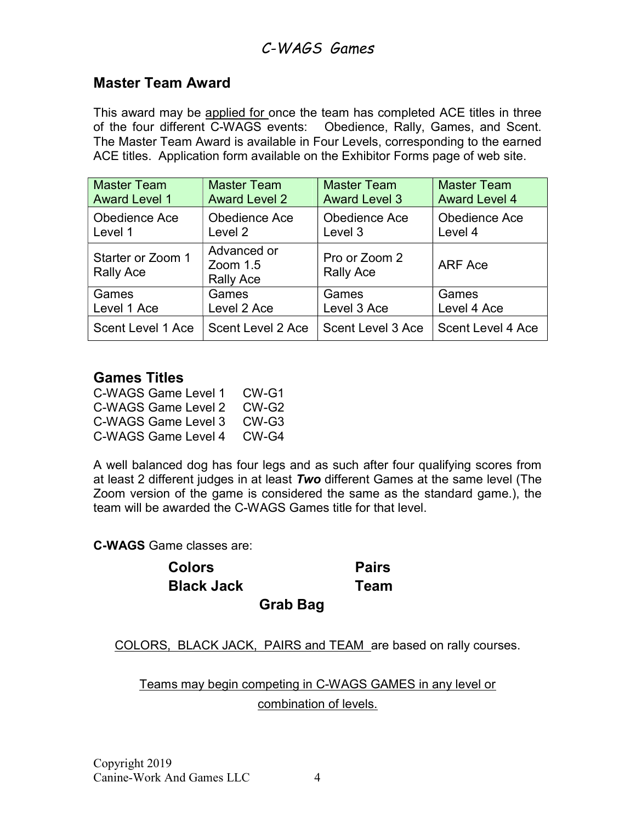### Master Team Award

This award may be applied for once the team has completed ACE titles in three of the four different C-WAGS events: Obedience, Rally, Games, and Scent. The Master Team Award is available in Four Levels, corresponding to the earned ACE titles. Application form available on the Exhibitor Forms page of web site.

| <b>Master Team</b>                    | <b>Master Team</b>                            | <b>Master Team</b>                | <b>Master Team</b>   |
|---------------------------------------|-----------------------------------------------|-----------------------------------|----------------------|
| <b>Award Level 1</b>                  | <b>Award Level 2</b>                          | <b>Award Level 3</b>              | <b>Award Level 4</b> |
| Obedience Ace                         | Obedience Ace                                 | Obedience Ace                     | Obedience Ace        |
| Level 1                               | Level 2                                       | Level 3                           | Level 4              |
| Starter or Zoom 1<br><b>Rally Ace</b> | Advanced or<br>Zoom $1.5$<br><b>Rally Ace</b> | Pro or Zoom 2<br><b>Rally Ace</b> | ARF Ace              |
| Games                                 | Games                                         | Games                             | Games                |
| Level 1 Ace                           | Level 2 Ace                                   | Level 3 Ace                       | Level 4 Ace          |
| Scent Level 1 Ace                     | Scent Level 2 Ace                             | Scent Level 3 Ace                 | Scent Level 4 Ace    |

### Games Titles

| C-WAGS Game Level 1 | CW-G1 |
|---------------------|-------|
| C-WAGS Game Level 2 | CW-G2 |
| C-WAGS Game Level 3 | CW-G3 |
| C-WAGS Game Level 4 | CW-G4 |

A well balanced dog has four legs and as such after four qualifying scores from at least 2 different judges in at least  $Two$  different Games at the same level (The Zoom version of the game is considered the same as the standard game.), the team will be awarded the C-WAGS Games title for that level.

C-WAGS Game classes are:

Colors Pairs Black Jack Team

Grab Bag

COLORS, BLACK JACK, PAIRS and TEAM are based on rally courses.

Teams may begin competing in C-WAGS GAMES in any level or combination of levels.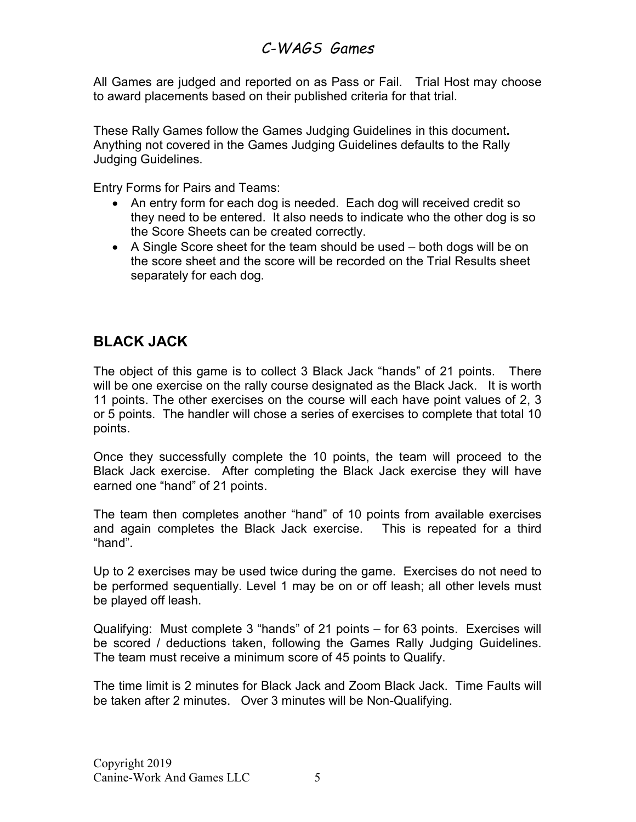All Games are judged and reported on as Pass or Fail. Trial Host may choose to award placements based on their published criteria for that trial.

These Rally Games follow the Games Judging Guidelines in this document. Anything not covered in the Games Judging Guidelines defaults to the Rally Judging Guidelines.

Entry Forms for Pairs and Teams:

- An entry form for each dog is needed. Each dog will received credit so they need to be entered. It also needs to indicate who the other dog is so the Score Sheets can be created correctly.
- A Single Score sheet for the team should be used both dogs will be on the score sheet and the score will be recorded on the Trial Results sheet separately for each dog.

# BLACK JACK

The object of this game is to collect 3 Black Jack "hands" of 21 points. There will be one exercise on the rally course designated as the Black Jack. It is worth 11 points. The other exercises on the course will each have point values of 2, 3 or 5 points. The handler will chose a series of exercises to complete that total 10 points.

Once they successfully complete the 10 points, the team will proceed to the Black Jack exercise. After completing the Black Jack exercise they will have earned one "hand" of 21 points.

The team then completes another "hand" of 10 points from available exercises and again completes the Black Jack exercise. This is repeated for a third "hand".

Up to 2 exercises may be used twice during the game. Exercises do not need to be performed sequentially. Level 1 may be on or off leash; all other levels must be played off leash.

Qualifying: Must complete 3 "hands" of 21 points – for 63 points. Exercises will be scored / deductions taken, following the Games Rally Judging Guidelines. The team must receive a minimum score of 45 points to Qualify.

The time limit is 2 minutes for Black Jack and Zoom Black Jack. Time Faults will be taken after 2 minutes. Over 3 minutes will be Non-Qualifying.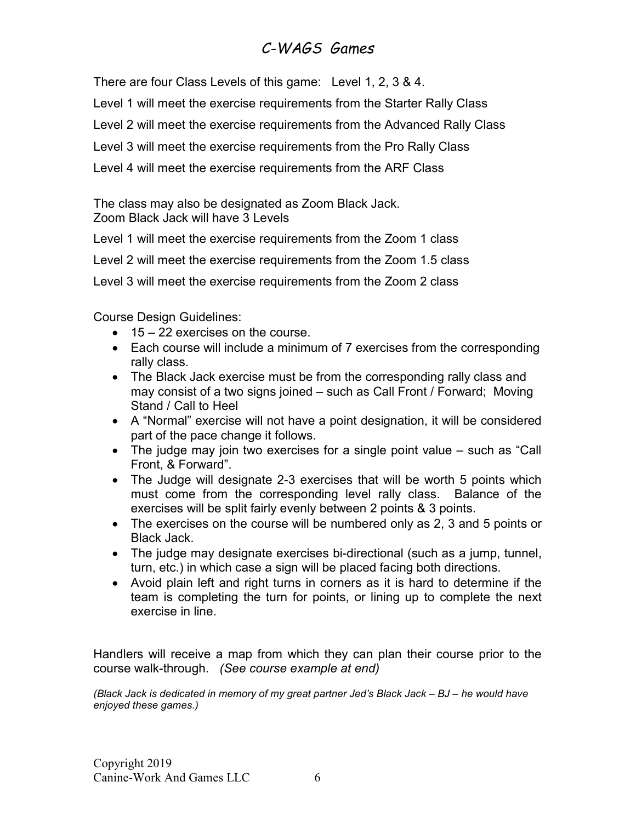There are four Class Levels of this game: Level 1, 2, 3 & 4.

Level 1 will meet the exercise requirements from the Starter Rally Class

Level 2 will meet the exercise requirements from the Advanced Rally Class

Level 3 will meet the exercise requirements from the Pro Rally Class

Level 4 will meet the exercise requirements from the ARF Class

The class may also be designated as Zoom Black Jack. Zoom Black Jack will have 3 Levels

Level 1 will meet the exercise requirements from the Zoom 1 class

Level 2 will meet the exercise requirements from the Zoom 1.5 class

Level 3 will meet the exercise requirements from the Zoom 2 class

Course Design Guidelines:

- $\bullet$  15 22 exercises on the course.
- Each course will include a minimum of 7 exercises from the corresponding rally class.
- The Black Jack exercise must be from the corresponding rally class and may consist of a two signs joined – such as Call Front / Forward; Moving Stand / Call to Heel
- A "Normal" exercise will not have a point designation, it will be considered part of the pace change it follows.
- The judge may join two exercises for a single point value such as "Call Front, & Forward".
- The Judge will designate 2-3 exercises that will be worth 5 points which must come from the corresponding level rally class. Balance of the exercises will be split fairly evenly between 2 points & 3 points.
- The exercises on the course will be numbered only as 2, 3 and 5 points or Black Jack.
- The judge may designate exercises bi-directional (such as a jump, tunnel, turn, etc.) in which case a sign will be placed facing both directions.
- Avoid plain left and right turns in corners as it is hard to determine if the team is completing the turn for points, or lining up to complete the next exercise in line.

Handlers will receive a map from which they can plan their course prior to the course walk-through. (See course example at end)

(Black Jack is dedicated in memory of my great partner Jed's Black Jack – BJ – he would have enjoyed these games.)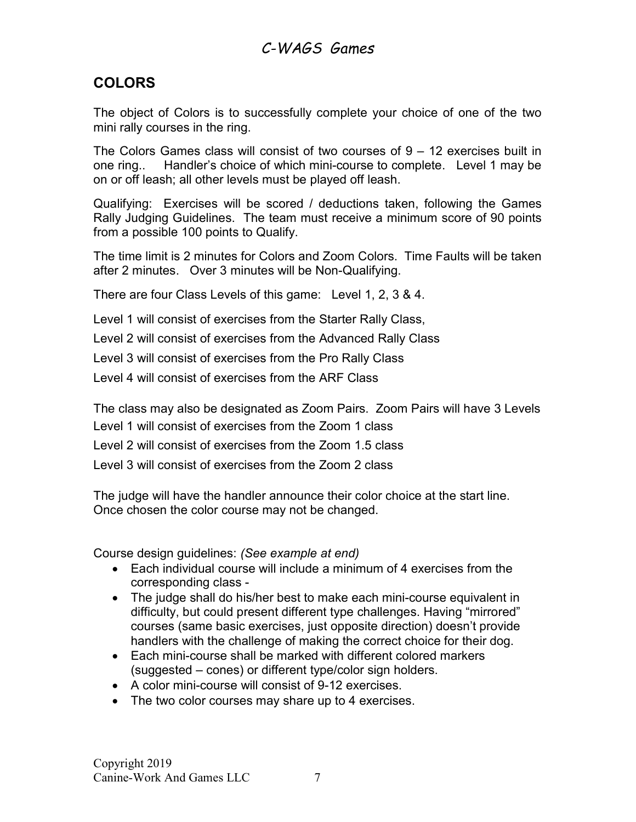### COLORS

The object of Colors is to successfully complete your choice of one of the two mini rally courses in the ring.

The Colors Games class will consist of two courses of 9 – 12 exercises built in one ring.. Handler's choice of which mini-course to complete. Level 1 may be on or off leash; all other levels must be played off leash.

Qualifying: Exercises will be scored / deductions taken, following the Games Rally Judging Guidelines. The team must receive a minimum score of 90 points from a possible 100 points to Qualify.

The time limit is 2 minutes for Colors and Zoom Colors. Time Faults will be taken after 2 minutes. Over 3 minutes will be Non-Qualifying.

There are four Class Levels of this game: Level 1, 2, 3 & 4.

Level 1 will consist of exercises from the Starter Rally Class,

Level 2 will consist of exercises from the Advanced Rally Class

Level 3 will consist of exercises from the Pro Rally Class

Level 4 will consist of exercises from the ARF Class

The class may also be designated as Zoom Pairs. Zoom Pairs will have 3 Levels

Level 1 will consist of exercises from the Zoom 1 class

Level 2 will consist of exercises from the Zoom 1.5 class

Level 3 will consist of exercises from the Zoom 2 class

The judge will have the handler announce their color choice at the start line. Once chosen the color course may not be changed.

Course design guidelines: (See example at end)

- Each individual course will include a minimum of 4 exercises from the corresponding class -
- The judge shall do his/her best to make each mini-course equivalent in difficulty, but could present different type challenges. Having "mirrored" courses (same basic exercises, just opposite direction) doesn't provide handlers with the challenge of making the correct choice for their dog.
- Each mini-course shall be marked with different colored markers (suggested – cones) or different type/color sign holders.
- A color mini-course will consist of 9-12 exercises.
- The two color courses may share up to 4 exercises.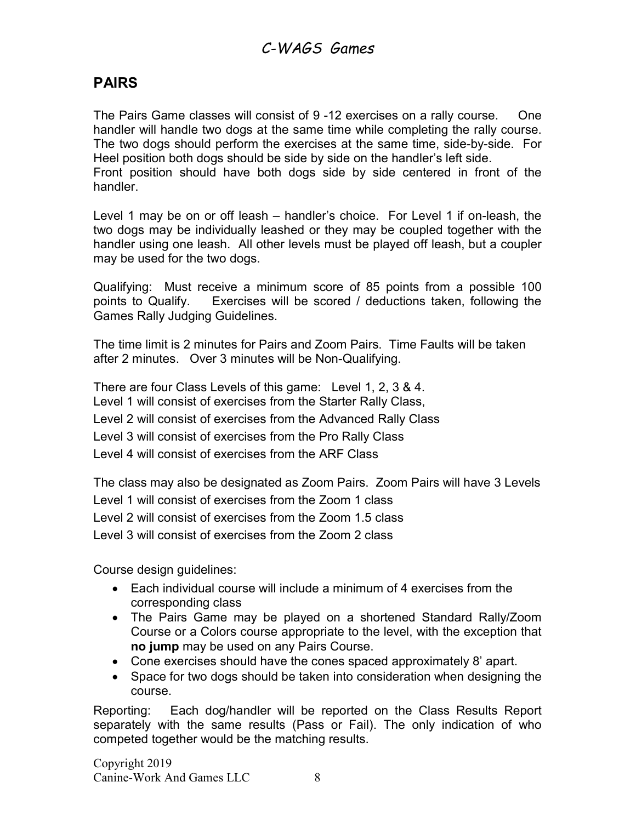### PAIRS

The Pairs Game classes will consist of 9 -12 exercises on a rally course. One handler will handle two dogs at the same time while completing the rally course. The two dogs should perform the exercises at the same time, side-by-side. For Heel position both dogs should be side by side on the handler's left side. Front position should have both dogs side by side centered in front of the handler.

Level 1 may be on or off leash – handler's choice. For Level 1 if on-leash, the two dogs may be individually leashed or they may be coupled together with the handler using one leash. All other levels must be played off leash, but a coupler may be used for the two dogs.

Qualifying: Must receive a minimum score of 85 points from a possible 100 points to Qualify. Exercises will be scored / deductions taken, following the Games Rally Judging Guidelines.

The time limit is 2 minutes for Pairs and Zoom Pairs. Time Faults will be taken after 2 minutes. Over 3 minutes will be Non-Qualifying.

There are four Class Levels of this game: Level 1, 2, 3 & 4. Level 1 will consist of exercises from the Starter Rally Class, Level 2 will consist of exercises from the Advanced Rally Class Level 3 will consist of exercises from the Pro Rally Class Level 4 will consist of exercises from the ARF Class

The class may also be designated as Zoom Pairs. Zoom Pairs will have 3 Levels Level 1 will consist of exercises from the Zoom 1 class Level 2 will consist of exercises from the Zoom 1.5 class Level 3 will consist of exercises from the Zoom 2 class

Course design guidelines:

- Each individual course will include a minimum of 4 exercises from the corresponding class
- The Pairs Game may be played on a shortened Standard Rally/Zoom Course or a Colors course appropriate to the level, with the exception that no jump may be used on any Pairs Course.
- Cone exercises should have the cones spaced approximately 8' apart.
- Space for two dogs should be taken into consideration when designing the course.

Reporting: Each dog/handler will be reported on the Class Results Report separately with the same results (Pass or Fail). The only indication of who competed together would be the matching results.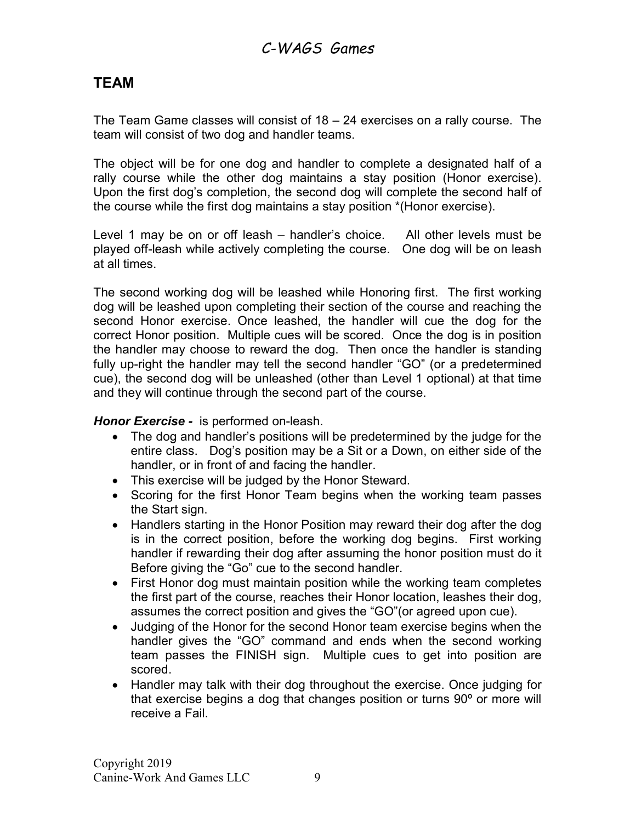### TEAM

The Team Game classes will consist of 18 – 24 exercises on a rally course. The team will consist of two dog and handler teams.

The object will be for one dog and handler to complete a designated half of a rally course while the other dog maintains a stay position (Honor exercise). Upon the first dog's completion, the second dog will complete the second half of the course while the first dog maintains a stay position \*(Honor exercise).

Level 1 may be on or off leash – handler's choice. All other levels must be played off-leash while actively completing the course. One dog will be on leash at all times.

The second working dog will be leashed while Honoring first. The first working dog will be leashed upon completing their section of the course and reaching the second Honor exercise. Once leashed, the handler will cue the dog for the correct Honor position. Multiple cues will be scored. Once the dog is in position the handler may choose to reward the dog. Then once the handler is standing fully up-right the handler may tell the second handler "GO" (or a predetermined cue), the second dog will be unleashed (other than Level 1 optional) at that time and they will continue through the second part of the course.

#### Honor Exercise - is performed on-leash.

- The dog and handler's positions will be predetermined by the judge for the entire class. Dog's position may be a Sit or a Down, on either side of the handler, or in front of and facing the handler.
- This exercise will be judged by the Honor Steward.
- Scoring for the first Honor Team begins when the working team passes the Start sign.
- Handlers starting in the Honor Position may reward their dog after the dog is in the correct position, before the working dog begins. First working handler if rewarding their dog after assuming the honor position must do it Before giving the "Go" cue to the second handler.
- First Honor dog must maintain position while the working team completes the first part of the course, reaches their Honor location, leashes their dog, assumes the correct position and gives the "GO"(or agreed upon cue).
- Judging of the Honor for the second Honor team exercise begins when the handler gives the "GO" command and ends when the second working team passes the FINISH sign. Multiple cues to get into position are scored.
- Handler may talk with their dog throughout the exercise. Once judging for that exercise begins a dog that changes position or turns 90º or more will receive a Fail.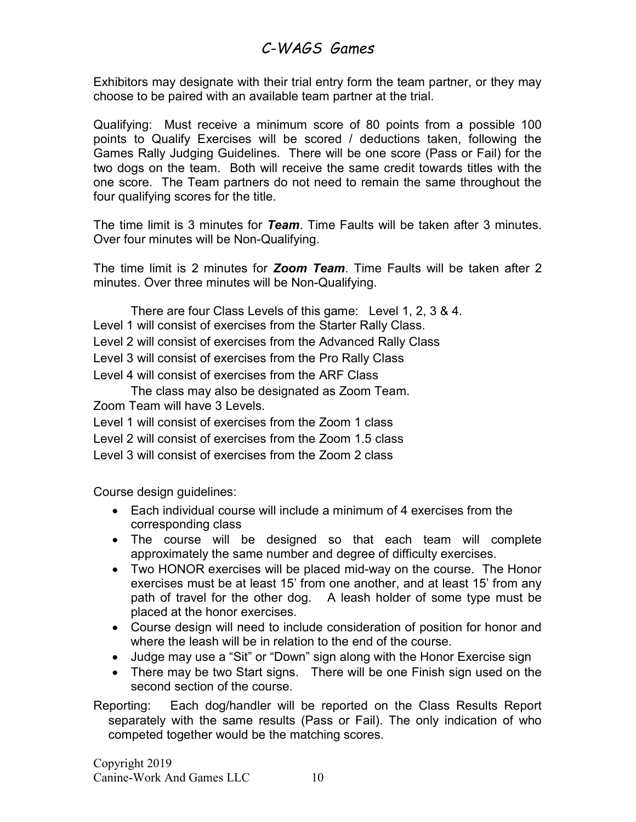Exhibitors may designate with their trial entry form the team partner, or they may choose to be paired with an available team partner at the trial.

Qualifying: Must receive a minimum score of 80 points from a possible 100 points to Qualify Exercises will be scored / deductions taken, following the Games Rally Judging Guidelines. There will be one score (Pass or Fail) for the two dogs on the team. Both will receive the same credit towards titles with the one score. The Team partners do not need to remain the same throughout the four qualifying scores for the title.

The time limit is 3 minutes for Team. Time Faults will be taken after 3 minutes. Over four minutes will be Non-Qualifying.

The time limit is 2 minutes for **Zoom Team**. Time Faults will be taken after 2 minutes. Over three minutes will be Non-Qualifying.

There are four Class Levels of this game: Level 1, 2, 3 & 4.

Level 1 will consist of exercises from the Starter Rally Class.

Level 2 will consist of exercises from the Advanced Rally Class

Level 3 will consist of exercises from the Pro Rally Class

Level 4 will consist of exercises from the ARF Class

The class may also be designated as Zoom Team.

Zoom Team will have 3 Levels.

Level 1 will consist of exercises from the Zoom 1 class

Level 2 will consist of exercises from the Zoom 1.5 class

Level 3 will consist of exercises from the Zoom 2 class

Course design guidelines:

- Each individual course will include a minimum of 4 exercises from the corresponding class
- The course will be designed so that each team will complete approximately the same number and degree of difficulty exercises.
- Two HONOR exercises will be placed mid-way on the course. The Honor exercises must be at least 15' from one another, and at least 15' from any path of travel for the other dog. A leash holder of some type must be placed at the honor exercises.
- Course design will need to include consideration of position for honor and where the leash will be in relation to the end of the course.
- Judge may use a "Sit" or "Down" sign along with the Honor Exercise sign
- There may be two Start signs. There will be one Finish sign used on the second section of the course.

Reporting: Each dog/handler will be reported on the Class Results Report separately with the same results (Pass or Fail). The only indication of who competed together would be the matching scores.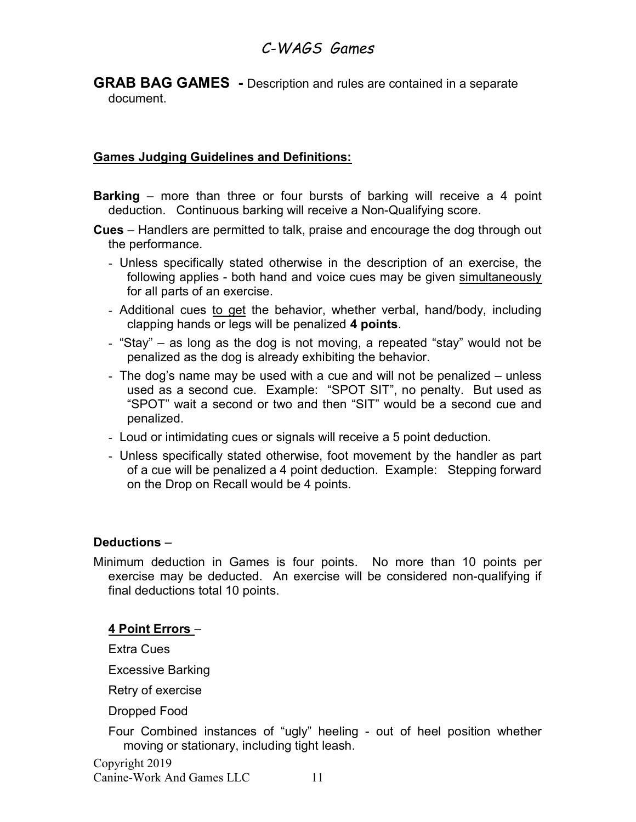GRAB BAG GAMES - Description and rules are contained in a separate document.

#### Games Judging Guidelines and Definitions:

- **Barking** more than three or four bursts of barking will receive a 4 point deduction. Continuous barking will receive a Non-Qualifying score.
- Cues Handlers are permitted to talk, praise and encourage the dog through out the performance.
	- Unless specifically stated otherwise in the description of an exercise, the following applies - both hand and voice cues may be given simultaneously for all parts of an exercise.
	- Additional cues to get the behavior, whether verbal, hand/body, including clapping hands or legs will be penalized 4 points.
	- "Stay" as long as the dog is not moving, a repeated "stay" would not be penalized as the dog is already exhibiting the behavior.
	- The dog's name may be used with a cue and will not be penalized unless used as a second cue. Example: "SPOT SIT", no penalty. But used as "SPOT" wait a second or two and then "SIT" would be a second cue and penalized.
	- Loud or intimidating cues or signals will receive a 5 point deduction.
	- Unless specifically stated otherwise, foot movement by the handler as part of a cue will be penalized a 4 point deduction. Example: Stepping forward on the Drop on Recall would be 4 points.

#### Deductions –

Minimum deduction in Games is four points. No more than 10 points per exercise may be deducted. An exercise will be considered non-qualifying if final deductions total 10 points.

#### 4 Point Errors –

Extra Cues

Excessive Barking

Retry of exercise

Dropped Food

Four Combined instances of "ugly" heeling - out of heel position whether moving or stationary, including tight leash.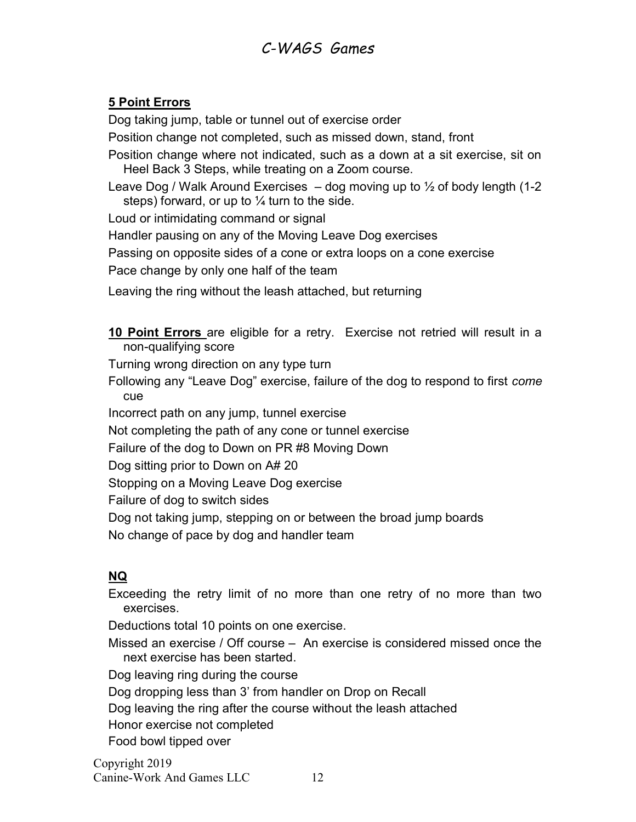### 5 Point Errors

Dog taking jump, table or tunnel out of exercise order

Position change not completed, such as missed down, stand, front

Position change where not indicated, such as a down at a sit exercise, sit on Heel Back 3 Steps, while treating on a Zoom course.

Leave Dog / Walk Around Exercises  $-$  dog moving up to  $\frac{1}{2}$  of body length (1-2 steps) forward, or up to  $\frac{1}{4}$  turn to the side.

Loud or intimidating command or signal

Handler pausing on any of the Moving Leave Dog exercises

Passing on opposite sides of a cone or extra loops on a cone exercise

Pace change by only one half of the team

Leaving the ring without the leash attached, but returning

10 Point Errors are eligible for a retry. Exercise not retried will result in a non-qualifying score

Turning wrong direction on any type turn

Following any "Leave Dog" exercise, failure of the dog to respond to first come cue

Incorrect path on any jump, tunnel exercise

Not completing the path of any cone or tunnel exercise

Failure of the dog to Down on PR #8 Moving Down

Dog sitting prior to Down on A# 20

Stopping on a Moving Leave Dog exercise

Failure of dog to switch sides

Dog not taking jump, stepping on or between the broad jump boards

No change of pace by dog and handler team

### NQ

Exceeding the retry limit of no more than one retry of no more than two exercises.

Deductions total 10 points on one exercise.

Missed an exercise / Off course – An exercise is considered missed once the next exercise has been started.

Dog leaving ring during the course

Dog dropping less than 3' from handler on Drop on Recall

Dog leaving the ring after the course without the leash attached

Honor exercise not completed

Food bowl tipped over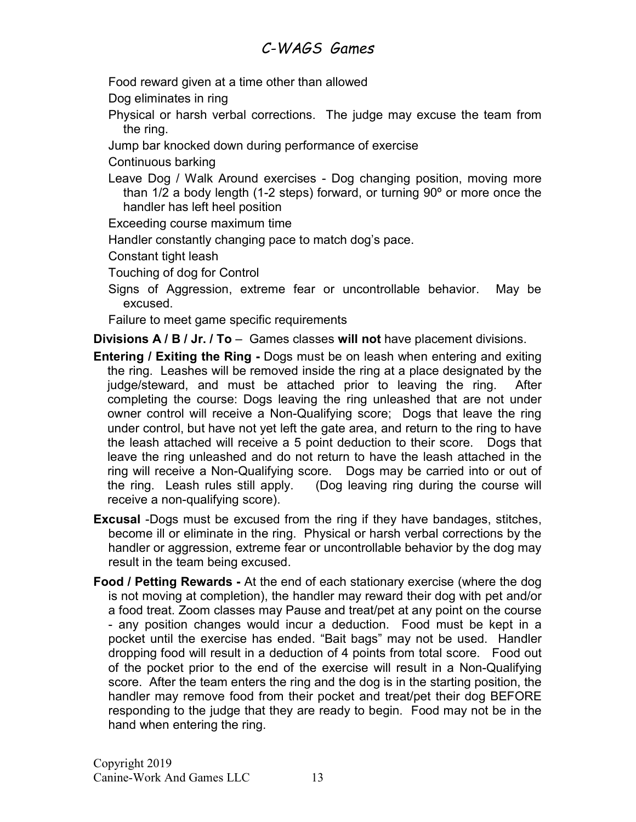Food reward given at a time other than allowed

Dog eliminates in ring

- Physical or harsh verbal corrections. The judge may excuse the team from the ring.
- Jump bar knocked down during performance of exercise
- Continuous barking
- Leave Dog / Walk Around exercises Dog changing position, moving more than 1/2 a body length (1-2 steps) forward, or turning 90º or more once the handler has left heel position
- Exceeding course maximum time
- Handler constantly changing pace to match dog's pace.

Constant tight leash

Touching of dog for Control

Signs of Aggression, extreme fear or uncontrollable behavior. May be excused.

Failure to meet game specific requirements

Divisions A / B / Jr. / To – Games classes will not have placement divisions.

- Entering / Exiting the Ring Dogs must be on leash when entering and exiting the ring. Leashes will be removed inside the ring at a place designated by the judge/steward, and must be attached prior to leaving the ring. After completing the course: Dogs leaving the ring unleashed that are not under owner control will receive a Non-Qualifying score; Dogs that leave the ring under control, but have not yet left the gate area, and return to the ring to have the leash attached will receive a 5 point deduction to their score. Dogs that leave the ring unleashed and do not return to have the leash attached in the ring will receive a Non-Qualifying score. Dogs may be carried into or out of the ring. Leash rules still apply. (Dog leaving ring during the course will receive a non-qualifying score).
- **Excusal** -Dogs must be excused from the ring if they have bandages, stitches, become ill or eliminate in the ring. Physical or harsh verbal corrections by the handler or aggression, extreme fear or uncontrollable behavior by the dog may result in the team being excused.
- Food / Petting Rewards At the end of each stationary exercise (where the dog is not moving at completion), the handler may reward their dog with pet and/or a food treat. Zoom classes may Pause and treat/pet at any point on the course - any position changes would incur a deduction. Food must be kept in a pocket until the exercise has ended. "Bait bags" may not be used. Handler dropping food will result in a deduction of 4 points from total score. Food out of the pocket prior to the end of the exercise will result in a Non-Qualifying score. After the team enters the ring and the dog is in the starting position, the handler may remove food from their pocket and treat/pet their dog BEFORE responding to the judge that they are ready to begin. Food may not be in the hand when entering the ring.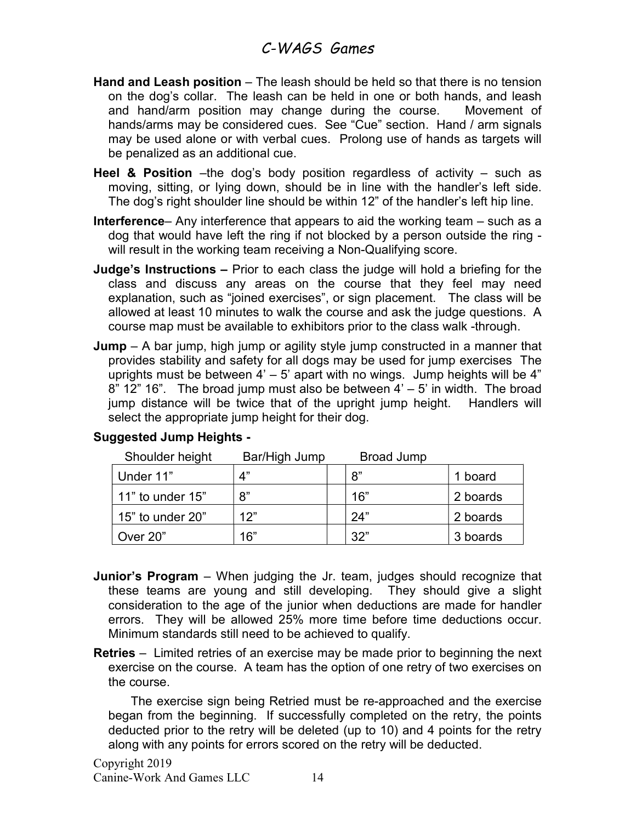- Hand and Leash position The leash should be held so that there is no tension on the dog's collar. The leash can be held in one or both hands, and leash and hand/arm position may change during the course. Movement of hands/arms may be considered cues. See "Cue" section. Hand / arm signals may be used alone or with verbal cues. Prolong use of hands as targets will be penalized as an additional cue.
- **Heel & Position** –the dog's body position regardless of activity such as moving, sitting, or lying down, should be in line with the handler's left side. The dog's right shoulder line should be within 12" of the handler's left hip line.
- Interference– Any interference that appears to aid the working team such as a dog that would have left the ring if not blocked by a person outside the ring will result in the working team receiving a Non-Qualifying score.
- Judge's Instructions Prior to each class the judge will hold a briefing for the class and discuss any areas on the course that they feel may need explanation, such as "joined exercises", or sign placement. The class will be allowed at least 10 minutes to walk the course and ask the judge questions. A course map must be available to exhibitors prior to the class walk -through.
- **Jump** A bar jump, high jump or agility style jump constructed in a manner that provides stability and safety for all dogs may be used for jump exercises The uprights must be between  $4' - 5'$  apart with no wings. Jump heights will be  $4''$  $8"$  12" 16". The broad jump must also be between  $4' - 5'$  in width. The broad jump distance will be twice that of the upright jump height. Handlers will select the appropriate jump height for their dog.

| Shoulder height  | Bar/High Jump | <b>Broad Jump</b> |          |
|------------------|---------------|-------------------|----------|
| Under 11"        | 4"            | 8"                | 1 board  |
| 11" to under 15" | 8"            | 16"               | 2 boards |
| 15" to under 20" | 12"           | 24"               | 2 boards |
| Over 20"         | 16"           | 32"               | 3 boards |

### Suggested Jump Heights -

- **Junior's Program** When judging the Jr. team, judges should recognize that these teams are young and still developing. They should give a slight consideration to the age of the junior when deductions are made for handler errors. They will be allowed 25% more time before time deductions occur. Minimum standards still need to be achieved to qualify.
- Retries Limited retries of an exercise may be made prior to beginning the next exercise on the course. A team has the option of one retry of two exercises on the course.

 The exercise sign being Retried must be re-approached and the exercise began from the beginning. If successfully completed on the retry, the points deducted prior to the retry will be deleted (up to 10) and 4 points for the retry along with any points for errors scored on the retry will be deducted.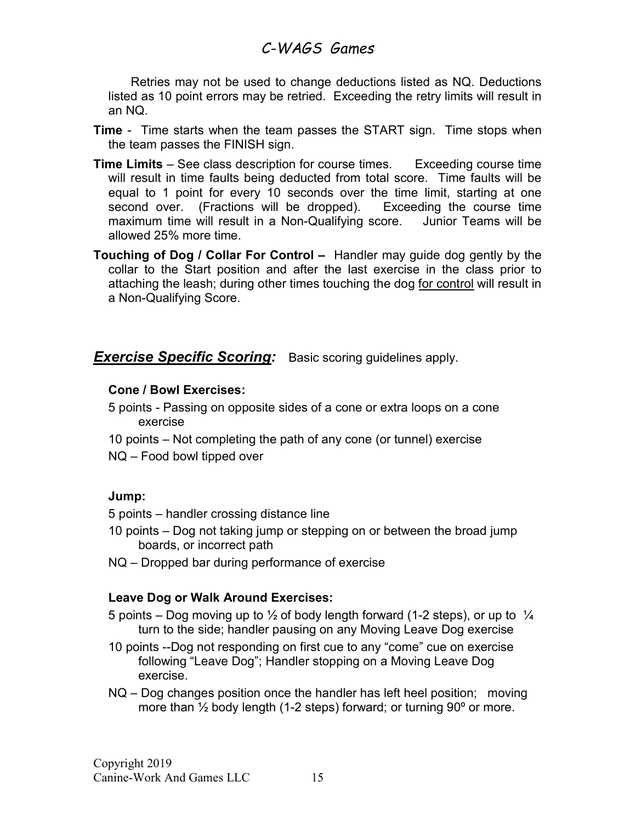Retries may not be used to change deductions listed as NQ. Deductions listed as 10 point errors may be retried. Exceeding the retry limits will result in an NQ.

- **Time** Time starts when the team passes the START sign. Time stops when the team passes the FINISH sign.
- Time Limits See class description for course times. Exceeding course time will result in time faults being deducted from total score. Time faults will be equal to 1 point for every 10 seconds over the time limit, starting at one second over. (Fractions will be dropped). Exceeding the course time maximum time will result in a Non-Qualifying score. Junior Teams will be allowed 25% more time.
- Touching of Dog / Collar For Control Handler may guide dog gently by the collar to the Start position and after the last exercise in the class prior to attaching the leash; during other times touching the dog for control will result in a Non-Qualifying Score.

#### **Exercise Specific Scoring:** Basic scoring guidelines apply.

#### Cone / Bowl Exercises:

- 5 points Passing on opposite sides of a cone or extra loops on a cone exercise
- 10 points Not completing the path of any cone (or tunnel) exercise
- NQ Food bowl tipped over

#### Jump:

- 5 points handler crossing distance line
- 10 points Dog not taking jump or stepping on or between the broad jump boards, or incorrect path
- NQ Dropped bar during performance of exercise

#### Leave Dog or Walk Around Exercises:

- 5 points Dog moving up to  $\frac{1}{2}$  of body length forward (1-2 steps), or up to  $\frac{1}{4}$ turn to the side; handler pausing on any Moving Leave Dog exercise
- 10 points --Dog not responding on first cue to any "come" cue on exercise following "Leave Dog"; Handler stopping on a Moving Leave Dog exercise.
- NQ Dog changes position once the handler has left heel position; moving more than  $\frac{1}{2}$  body length (1-2 steps) forward; or turning 90 $\degree$  or more.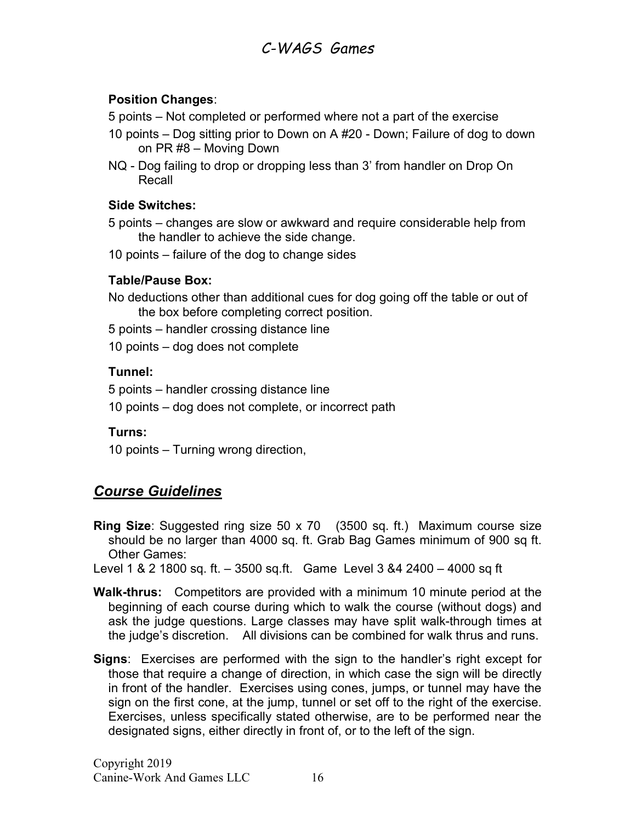#### Position Changes:

5 points – Not completed or performed where not a part of the exercise

- 10 points Dog sitting prior to Down on A #20 Down; Failure of dog to down on PR #8 – Moving Down
- NQ Dog failing to drop or dropping less than 3' from handler on Drop On Recall

#### Side Switches:

- 5 points changes are slow or awkward and require considerable help from the handler to achieve the side change.
- 10 points failure of the dog to change sides

### Table/Pause Box:

No deductions other than additional cues for dog going off the table or out of the box before completing correct position.

5 points – handler crossing distance line

10 points – dog does not complete

### Tunnel:

5 points – handler crossing distance line

10 points – dog does not complete, or incorrect path

### Turns:

10 points – Turning wrong direction,

## Course Guidelines

Ring Size: Suggested ring size 50 x 70 (3500 sq. ft.) Maximum course size should be no larger than 4000 sq. ft. Grab Bag Games minimum of 900 sq ft. Other Games:

Level 1 & 2 1800 sq. ft. – 3500 sq.ft. Game Level 3 &4 2400 – 4000 sq ft

- Walk-thrus: Competitors are provided with a minimum 10 minute period at the beginning of each course during which to walk the course (without dogs) and ask the judge questions. Large classes may have split walk-through times at the judge's discretion. All divisions can be combined for walk thrus and runs.
- **Signs:** Exercises are performed with the sign to the handler's right except for those that require a change of direction, in which case the sign will be directly in front of the handler. Exercises using cones, jumps, or tunnel may have the sign on the first cone, at the jump, tunnel or set off to the right of the exercise. Exercises, unless specifically stated otherwise, are to be performed near the designated signs, either directly in front of, or to the left of the sign.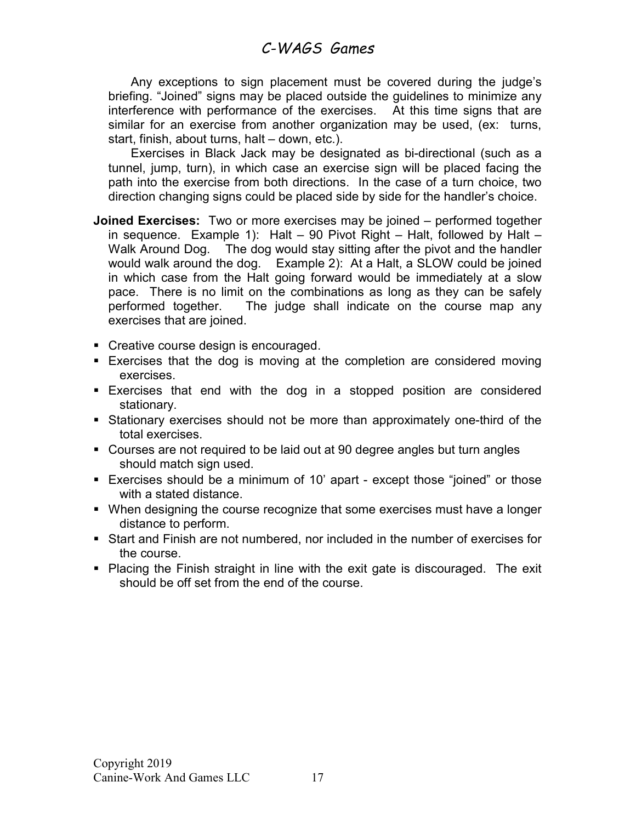Any exceptions to sign placement must be covered during the judge's briefing. "Joined" signs may be placed outside the guidelines to minimize any interference with performance of the exercises. At this time signs that are similar for an exercise from another organization may be used, (ex: turns, start, finish, about turns, halt – down, etc.).

 Exercises in Black Jack may be designated as bi-directional (such as a tunnel, jump, turn), in which case an exercise sign will be placed facing the path into the exercise from both directions. In the case of a turn choice, two direction changing signs could be placed side by side for the handler's choice.

- **Joined Exercises:** Two or more exercises may be joined performed together in sequence. Example 1): Halt – 90 Pivot Right – Halt, followed by Halt – Walk Around Dog. The dog would stay sitting after the pivot and the handler would walk around the dog. Example 2): At a Halt, a SLOW could be joined in which case from the Halt going forward would be immediately at a slow pace. There is no limit on the combinations as long as they can be safely performed together. The judge shall indicate on the course map any exercises that are joined.
- Creative course design is encouraged.
- **Exercises that the dog is moving at the completion are considered moving** exercises.
- Exercises that end with the dog in a stopped position are considered stationary.
- Stationary exercises should not be more than approximately one-third of the total exercises.
- Courses are not required to be laid out at 90 degree angles but turn angles should match sign used.
- Exercises should be a minimum of 10' apart except those "joined" or those with a stated distance.
- When designing the course recognize that some exercises must have a longer distance to perform.
- Start and Finish are not numbered, nor included in the number of exercises for the course.
- Placing the Finish straight in line with the exit gate is discouraged. The exit should be off set from the end of the course.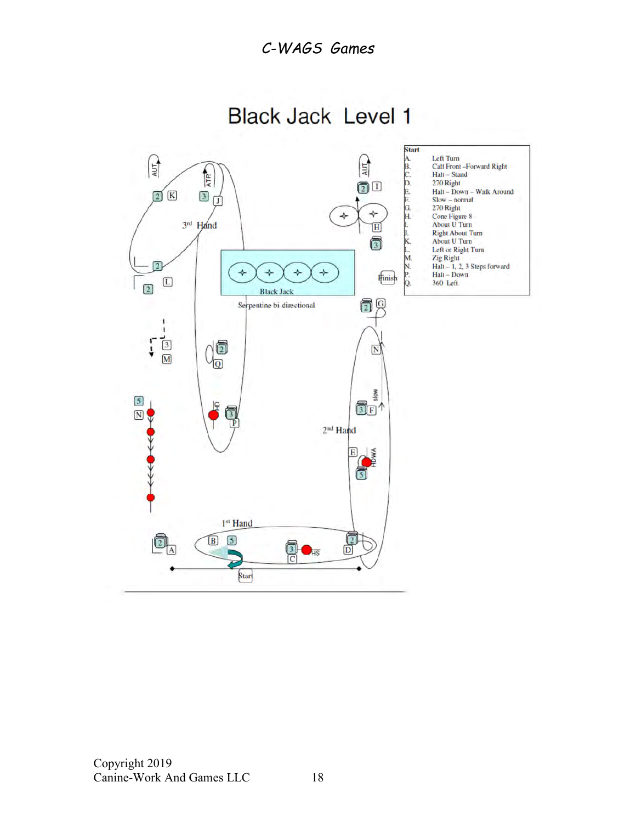Start Left Turn<br>Call Front-Forward Right<br>Halt - Stand  $\mathbb{E}$ A<sub>B</sub>C<sub>D</sub>  $\sqrt{\frac{1}{2}}$ ATR<sup></sup> 270 Right  $\textcircled{1}^{\textcircled{\tiny{1}}}$ Halt - Down - Walk Around  $\left[\overline{K}\right]$ F.  $\boxed{2}$  $\boxed{3}$  $Slow-normal$ <br> $270 Right$ σ G.<br>H.  $\div$ Cone Figure 8<br>About U Turn 3rd Hand  $\overline{H}$ Right About Turn<br>About U Turn 6 Left or Right Turn M. Zig Right Halt - 1, 2, 3 Steps forward<br>Halt - Down  $\frac{N}{P}$  $\star$  $\rightarrow$  $\rightarrow$  $\rightarrow$ **Hinish**  $\begin{tabular}{|c|c|} \hline \quad \quad & \quad \quad & \quad \quad \\ \hline \end{tabular}$ 360 Left  $\boxed{2}$ **Black Jack** Q Ō Serpentine bi-directional ٠  $\frac{3}{2}$ )d<br>Q Ļ  $\boxed{\text{N}}$ slow  $\boxed{5}$  $@$ F $^*$ ١ę  $\overline{N}$ ∀ ΤP 2<sup>nd</sup> Hand HDWA  $E$ ចា 1st Hand  $\frac{1}{\frac{1}{\frac{1}{1}}}\$  $\boxed{5}$  $\boxed{B}$  $\boxed{2}$ to<br>C  $\Box$ HS Start

**Black Jack Level 1**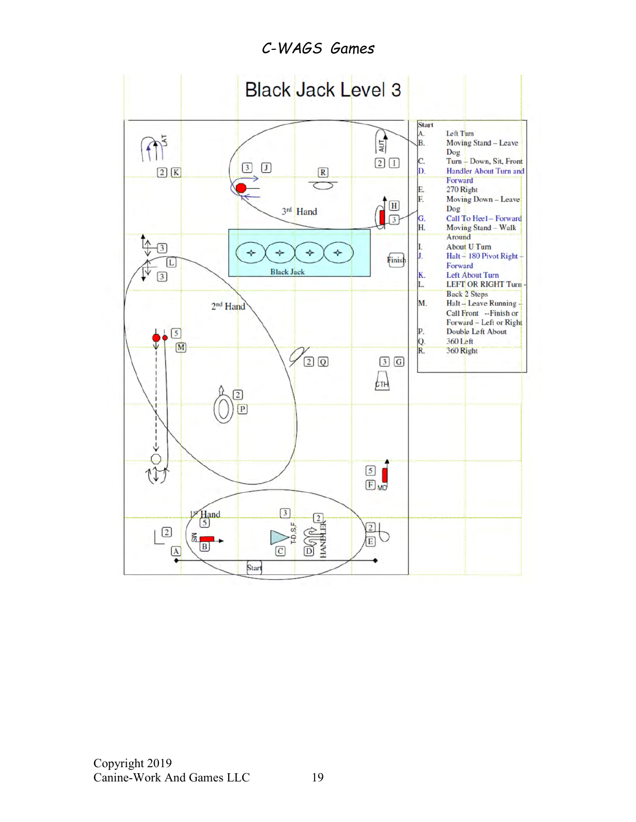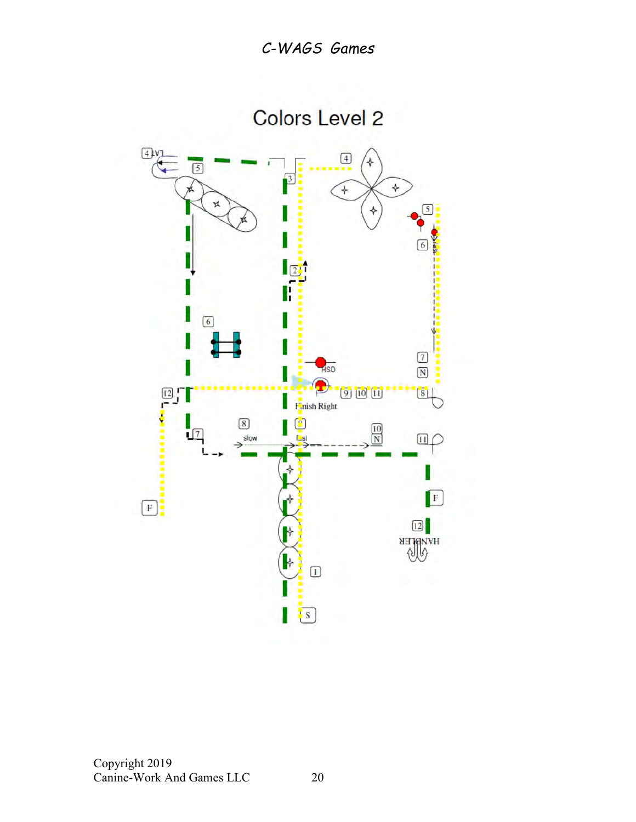